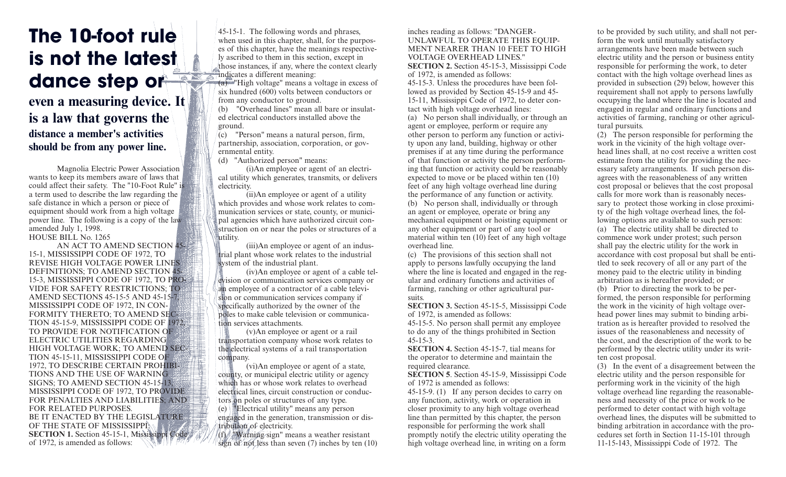## **The 10-foot rule is not the latest**  dance step or

## **even a measuring device. It is a law that governs the distance a member's activities should be from any power line.**

Magnolia Electric Power Association wants to keep its members aware of laws that could affect their safety. The "10-Foot Rule" is a term used to describe the law regarding the safe distance in which a person or piece of equipment should work from a high voltage power line. The following is a copy of the law amended July 1, 1998. HOUSE BILL No. 1265

AN ACT TO AMEND SECTION 45- 15-1, MISSISSIPPI CODE OF 1972, TO REVISE HIGH VOLTAGE POWER LINES DEFINITIONS; TO AMEND SECTION 45- 15-3, MISSISSIPPI CODE OF 1972, TO PRO-VIDE FOR SAFETY RESTRICTIONS; TO AMEND SECTIONS 45-15-5 AND 45-15-7, MISSISSIPPI CODE OF 1972, IN CON-FORMITY THERETO; TO AMEND SEC-TION 45-15-9, MISSISSIPPI CODE OF 1972 TO PROVIDE FOR NOTIFICATION OF ELECTRIC UTILITIES REGARDING HIGH VOLTAGE WORK: TO AMEND SEC-TION 45-15-11, MISSISSIPPI CODE OF 1972, TO DESCRIBE CERTAIN PROHIBI-TIONS AND THE USE OF WARNING SIGNS; TO AMEND SECTION 45-15-13, MISSISSIPPI CODE OF 1972, TO PROVIDE FOR PENALTIES AND LIABILITIES; AND FOR RELATED PURPOSES. BE IT ENACTED BY THE LEGISLATURE: OF THE STATE OF MISSISSIPPI **SECTION 1.** Section 45-15-1, Mississippi Code of 1972, is amended as follows:

45-15-1. The following words and phrases, when used in this chapter, shall, for the purposes of this chapter, have the meanings respectively ascribed to them in this section, except in those instances, if any, where the context clearly  $\frac{1}{\sqrt{2}}$  indicates a different meaning:

(a) "High voltage" means a voltage in excess of six hundred (600) volts between conductors or from any conductor to ground.

(b) "Overhead lines" mean all bare or insulated electrical conductors installed above the ground.

 $\int_{0}^{1}$ (c) "Person" means a natural person, firm, partnership, association, corporation, or governmental entity.

(d) "Authorized person" means:

(i)An employee or agent of an electrical utility which generates, transmits, or delivers electricity.

(ii)An employee or agent of a utility which provides and whose work relates to communication services or state, county, or municipal agencies which have authorized circuit construction on or near the poles or structures of a utility.

(iii)An employee or agent of an industrial plant whose work relates to the industrial system of the industrial plant.

(iv)An employee or agent of a cable television or communication services company or an employee of a contractor of a cable television or communication services company if specifically authorized by the owner of the poles to make cable television or communication services attachments.

(v)An employee or agent or a rail transportation company whose work relates to the electrical systems of a rail transportation company.

(vi)An employee or agent of a state, county, or municipal electric utility or agency which has or whose work relates to overhead electrical lines, circuit construction or conductors on poles or structures of any type.  $(e)$   $\equiv$  Electrical utility" means any person engaged in the generation, transmission or distribution of electricity. (f) "Warning sign" means a weather resistant

sign of not less than seven (7) inches by ten (10)

inches reading as follows: "DANGER-UNLAWFUL TO OPERATE THIS EQUIP-MENT NEARER THAN 10 FEET TO HIGH VOLTAGE OVERHEAD LINES." **SECTION 2.** Section 45-15-3, Mississippi Code of 1972, is amended as follows: 45-15-3. Unless the procedures have been followed as provided by Section 45-15-9 and 45- 15-11, Mississippi Code of 1972, to deter contact with high voltage overhead lines: (a) No person shall individually, or through an agent or employee, perform or require any other person to perform any function or activity upon any land, building, highway or other premises if at any time during the performance of that function or activity the person performing that function or activity could be reasonably expected to move or be placed within ten (10) feet of any high voltage overhead line during the performance of any function or activity. (b) No person shall, individually or through an agent or employee, operate or bring any mechanical equipment or hoisting equipment or any other equipment or part of any tool or material within ten (10) feet of any high voltage overhead line.

(c) The provisions of this section shall not apply to persons lawfully occupying the land where the line is located and engaged in the regular and ordinary functions and activities of farming, ranching or other agricultural pursuits.

**SECTION 3.** Section 45-15-5, Mississippi Code of 1972, is amended as follows:

45-15-5. No person shall permit any employee to do any of the things prohibited in Section 45-15-3.

**SECTION 4.** Section 45-15-7, tial means for the operator to determine and maintain the required clearance.

**SECTION 5**. Section 45-15-9, Mississippi Code of 1972 is amended as follows:

45-15-9. (1) If any person decides to carry on any function, activity, work or operation in closer proximity to any high voltage overhead line than permitted by this chapter, the person responsible for performing the work shall promptly notify the electric utility operating the high voltage overhead line, in writing on a form

to be provided by such utility, and shall not perform the work until mutually satisfactory arrangements have been made between such electric utility and the person or business entity responsible for performing the work, to deter contact with the high voltage overhead lines as provided in subsection (29) below, however this requirement shall not apply to persons lawfully occupying the land where the line is located and engaged in regular and ordinary functions and activities of farming, ranching or other agricultural pursuits.

(2) The person responsible for performing the work in the vicinity of the high voltage overhead lines shall, at no cost receive a written cost estimate from the utility for providing the necessary safety arrangements. If such person disagrees with the reasonableness of any written cost proposal or believes that the cost proposal calls for more work than is reasonably necessary to protect those working in close proximity of the high voltage overhead lines, the following options are available to such person: (a) The electric utility shall be directed to commence work under protest; such person shall pay the electric utility for the work in accordance with cost proposal but shall be entitled to seek recovery of all or any part of the money paid to the electric utility in binding arbitration as is hereafter provided; or (b) Prior to directing the work to be performed, the person responsible for performing the work in the vicinity of high voltage overhead power lines may submit to binding arbitration as is hereafter provided to resolved the issues of the reasonableness and necessity of the cost, and the description of the work to be performed by the electric utility under its written cost proposal.

(3) In the event of a disagreement between the electric utility and the person responsible for performing work in the vicinity of the high voltage overhead line regarding the reasonableness and necessity of the price or work to be performed to deter contact with high voltage overhead lines, the disputes will be submitted to binding arbitration in accordance with the procedures set forth in Section 11-15-101 through 11-15-143, Mississippi Code of 1972. The